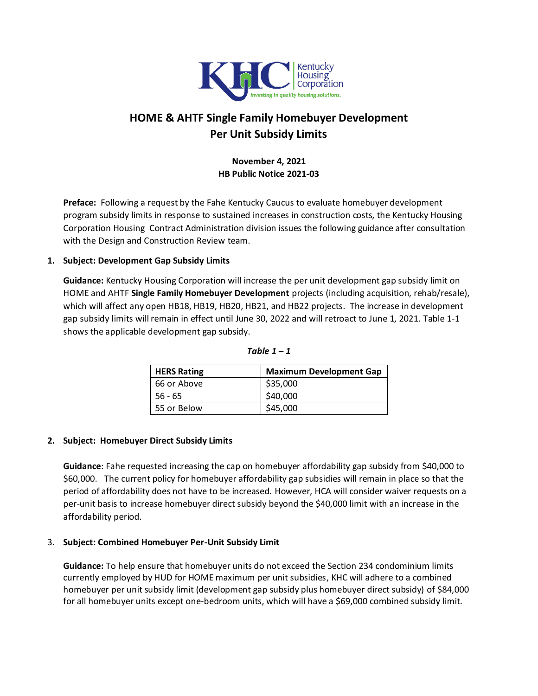

# **HOME & AHTF Single Family Homebuyer Development Per Unit Subsidy Limits**

# **November 4, 2021 HB Public Notice 2021-03**

**Preface:** Following a request by the Fahe Kentucky Caucus to evaluate homebuyer development program subsidy limits in response to sustained increases in construction costs, the Kentucky Housing Corporation Housing Contract Administration division issues the following guidance after consultation with the Design and Construction Review team.

#### **1. Subject: Development Gap Subsidy Limits**

**Guidance:** Kentucky Housing Corporation will increase the per unit development gap subsidy limit on HOME and AHTF **Single Family Homebuyer Development** projects (including acquisition, rehab/resale), which will affect any open HB18, HB19, HB20, HB21, and HB22 projects. The increase in development gap subsidy limits will remain in effect until June 30, 2022 and will retroact to June 1, 2021. Table 1-1 shows the applicable development gap subsidy.

| <b>HERS Rating</b> | <b>Maximum Development Gap</b> |
|--------------------|--------------------------------|
| 66 or Above        | \$35,000                       |
| 56 - 65            | \$40,000                       |
| 55 or Below        | \$45,000                       |

Table  $1 - 1$ 

## **2. Subject: Homebuyer Direct Subsidy Limits**

**Guidance**: Fahe requested increasing the cap on homebuyer affordability gap subsidy from \$40,000 to \$60,000. The current policy for homebuyer affordability gap subsidies will remain in place so that the period of affordability does not have to be increased. However, HCA will consider waiver requests on a per-unit basis to increase homebuyer direct subsidy beyond the \$40,000 limit with an increase in the affordability period.

## 3. **Subject: Combined Homebuyer Per-Unit Subsidy Limit**

**Guidance:** To help ensure that homebuyer units do not exceed the Section 234 condominium limits currently employed by HUD for HOME maximum per unit subsidies, KHC will adhere to a combined homebuyer per unit subsidy limit (development gap subsidy plus homebuyer direct subsidy) of \$84,000 for all homebuyer units except one-bedroom units, which will have a \$69,000 combined subsidy limit.